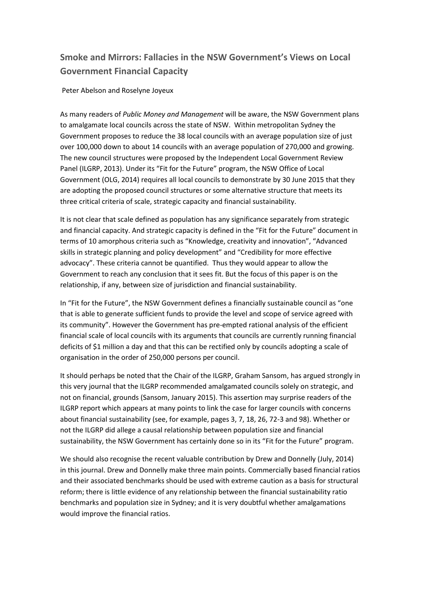# **Smoke and Mirrors: Fallacies in the NSW Government's Views on Local Government Financial Capacity**

Peter Abelson and Roselyne Joyeux

As many readers of *Public Money and Management* will be aware, the NSW Government plans to amalgamate local councils across the state of NSW. Within metropolitan Sydney the Government proposes to reduce the 38 local councils with an average population size of just over 100,000 down to about 14 councils with an average population of 270,000 and growing. The new council structures were proposed by the Independent Local Government Review Panel (ILGRP, 2013). Under its "Fit for the Future" program, the NSW Office of Local Government (OLG, 2014) requires all local councils to demonstrate by 30 June 2015 that they are adopting the proposed council structures or some alternative structure that meets its three critical criteria of scale, strategic capacity and financial sustainability.

It is not clear that scale defined as population has any significance separately from strategic and financial capacity. And strategic capacity is defined in the "Fit for the Future" document in terms of 10 amorphous criteria such as "Knowledge, creativity and innovation", "Advanced skills in strategic planning and policy development" and "Credibility for more effective advocacy". These criteria cannot be quantified. Thus they would appear to allow the Government to reach any conclusion that it sees fit. But the focus of this paper is on the relationship, if any, between size of jurisdiction and financial sustainability.

In "Fit for the Future", the NSW Government defines a financially sustainable council as "one that is able to generate sufficient funds to provide the level and scope of service agreed with its community". However the Government has pre-empted rational analysis of the efficient financial scale of local councils with its arguments that councils are currently running financial deficits of \$1 million a day and that this can be rectified only by councils adopting a scale of organisation in the order of 250,000 persons per council.

It should perhaps be noted that the Chair of the ILGRP, Graham Sansom, has argued strongly in this very journal that the ILGRP recommended amalgamated councils solely on strategic, and not on financial, grounds (Sansom, January 2015). This assertion may surprise readers of the ILGRP report which appears at many points to link the case for larger councils with concerns about financial sustainability (see, for example, pages 3, 7, 18, 26, 72-3 and 98). Whether or not the ILGRP did allege a causal relationship between population size and financial sustainability, the NSW Government has certainly done so in its "Fit for the Future" program.

We should also recognise the recent valuable contribution by Drew and Donnelly (July, 2014) in this journal. Drew and Donnelly make three main points. Commercially based financial ratios and their associated benchmarks should be used with extreme caution as a basis for structural reform; there is little evidence of any relationship between the financial sustainability ratio benchmarks and population size in Sydney; and it is very doubtful whether amalgamations would improve the financial ratios.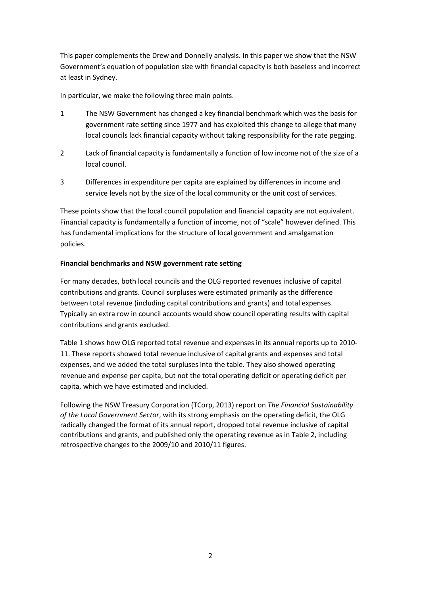This paper complements the Drew and Donnelly analysis. In this paper we show that the NSW Government's equation of population size with financial capacity is both baseless and incorrect at least in Sydney.

In particular, we make the following three main points.

- 1 The NSW Government has changed a key financial benchmark which was the basis for government rate setting since 1977 and has exploited this change to allege that many local councils lack financial capacity without taking responsibility for the rate pegging.
- 2 Lack of financial capacity is fundamentally a function of low income not of the size of a local council.
- 3 Differences in expenditure per capita are explained by differences in income and service levels not by the size of the local community or the unit cost of services.

These points show that the local council population and financial capacity are not equivalent. Financial capacity is fundamentally a function of income, not of "scale" however defined. This has fundamental implications for the structure of local government and amalgamation policies.

#### **Financial benchmarks and NSW government rate setting**

For many decades, both local councils and the OLG reported revenues inclusive of capital contributions and grants. Council surpluses were estimated primarily as the difference between total revenue (including capital contributions and grants) and total expenses. Typically an extra row in council accounts would show council operating results with capital contributions and grants excluded.

Table 1 shows how OLG reported total revenue and expenses in its annual reports up to 2010- 11. These reports showed total revenue inclusive of capital grants and expenses and total expenses, and we added the total surpluses into the table. They also showed operating revenue and expense per capita, but not the total operating deficit or operating deficit per capita, which we have estimated and included.

Following the NSW Treasury Corporation (TCorp, 2013) report on *The Financial Sustainability of the Local Government Sector*, with its strong emphasis on the operating deficit, the OLG radically changed the format of its annual report, dropped total revenue inclusive of capital contributions and grants, and published only the operating revenue as in Table 2, including retrospective changes to the 2009/10 and 2010/11 figures.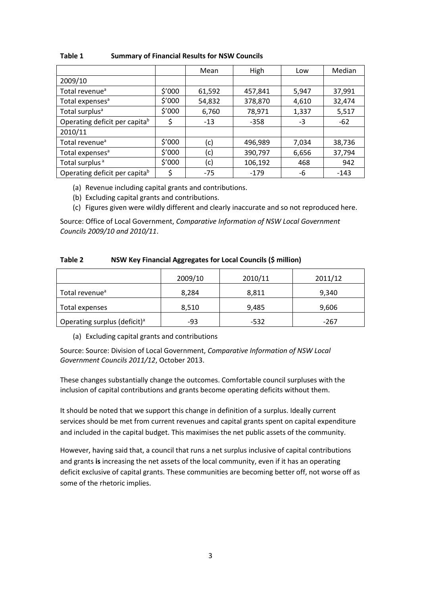|                               |        | Mean   | High    | Low   | Median |
|-------------------------------|--------|--------|---------|-------|--------|
| 2009/10                       |        |        |         |       |        |
| Total revenue <sup>a</sup>    | \$′000 | 61,592 | 457,841 | 5,947 | 37,991 |
| Total expenses <sup>a</sup>   | \$′000 | 54,832 | 378,870 | 4,610 | 32,474 |
| Total surplus <sup>a</sup>    | \$′000 | 6,760  | 78,971  | 1,337 | 5,517  |
| Operating deficit per capitab | \$     | $-13$  | $-358$  | -3    | $-62$  |
| 2010/11                       |        |        |         |       |        |
| Total revenue <sup>a</sup>    | \$'000 | (c)    | 496,989 | 7,034 | 38,736 |
| Total expenses <sup>a</sup>   | \$'000 | (c)    | 390,797 | 6,656 | 37,794 |
| Total surplus <sup>a</sup>    | \$′000 | (c)    | 106,192 | 468   | 942    |
| Operating deficit per capitab | \$     | $-75$  | $-179$  | -6    | $-143$ |

**Table 1 Summary of Financial Results for NSW Councils** 

- (a) Revenue including capital grants and contributions.
- (b) Excluding capital grants and contributions.
- (c) Figures given were wildly different and clearly inaccurate and so not reproduced here.

Source: Office of Local Government, *Comparative Information of NSW Local Government Councils 2009/10 and 2010/11*.

| Table 2 | <b>NSW Key Financial Aggregates for Local Councils (\$ million)</b> |  |
|---------|---------------------------------------------------------------------|--|
|---------|---------------------------------------------------------------------|--|

|                                          | 2009/10 | 2010/11 | 2011/12 |
|------------------------------------------|---------|---------|---------|
| Total revenue <sup>a</sup>               | 8,284   | 8,811   | 9,340   |
| Total expenses                           | 8,510   | 9,485   | 9,606   |
| Operating surplus (deficit) <sup>a</sup> | -93     | -532    | -267    |

(a) Excluding capital grants and contributions

Source: Source: Division of Local Government, *Comparative Information of NSW Local Government Councils 2011/12*, October 2013.

These changes substantially change the outcomes. Comfortable council surpluses with the inclusion of capital contributions and grants become operating deficits without them.

It should be noted that we support this change in definition of a surplus. Ideally current services should be met from current revenues and capital grants spent on capital expenditure and included in the capital budget. This maximises the net public assets of the community.

However, having said that, a council that runs a net surplus inclusive of capital contributions and grants **is** increasing the net assets of the local community, even if it has an operating deficit exclusive of capital grants. These communities are becoming better off, not worse off as some of the rhetoric implies.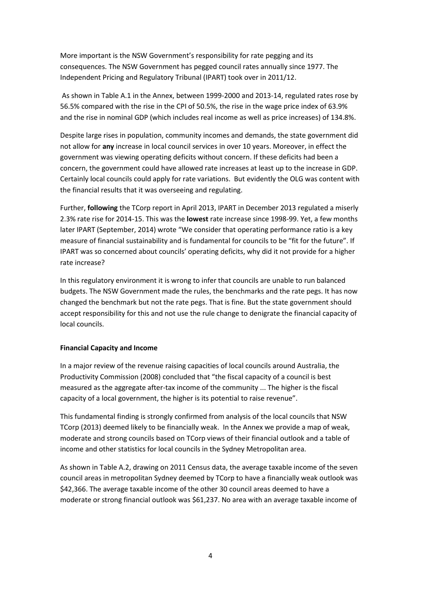More important is the NSW Government's responsibility for rate pegging and its consequences. The NSW Government has pegged council rates annually since 1977. The Independent Pricing and Regulatory Tribunal (IPART) took over in 2011/12.

As shown in Table A.1 in the Annex, between 1999-2000 and 2013-14, regulated rates rose by 56.5% compared with the rise in the CPI of 50.5%, the rise in the wage price index of 63.9% and the rise in nominal GDP (which includes real income as well as price increases) of 134.8%.

Despite large rises in population, community incomes and demands, the state government did not allow for **any** increase in local council services in over 10 years. Moreover, in effect the government was viewing operating deficits without concern. If these deficits had been a concern, the government could have allowed rate increases at least up to the increase in GDP. Certainly local councils could apply for rate variations. But evidently the OLG was content with the financial results that it was overseeing and regulating.

Further, **following** the TCorp report in April 2013, IPART in December 2013 regulated a miserly 2.3% rate rise for 2014-15. This was the **lowest** rate increase since 1998-99. Yet, a few months later IPART (September, 2014) wrote "We consider that operating performance ratio is a key measure of financial sustainability and is fundamental for councils to be "fit for the future". If IPART was so concerned about councils' operating deficits, why did it not provide for a higher rate increase?

In this regulatory environment it is wrong to infer that councils are unable to run balanced budgets. The NSW Government made the rules, the benchmarks and the rate pegs. It has now changed the benchmark but not the rate pegs. That is fine. But the state government should accept responsibility for this and not use the rule change to denigrate the financial capacity of local councils.

#### **Financial Capacity and Income**

In a major review of the revenue raising capacities of local councils around Australia, the Productivity Commission (2008) concluded that "the fiscal capacity of a council is best measured as the aggregate after-tax income of the community ... The higher is the fiscal capacity of a local government, the higher is its potential to raise revenue".

This fundamental finding is strongly confirmed from analysis of the local councils that NSW TCorp (2013) deemed likely to be financially weak. In the Annex we provide a map of weak, moderate and strong councils based on TCorp views of their financial outlook and a table of income and other statistics for local councils in the Sydney Metropolitan area.

As shown in Table A.2, drawing on 2011 Census data, the average taxable income of the seven council areas in metropolitan Sydney deemed by TCorp to have a financially weak outlook was \$42,366. The average taxable income of the other 30 council areas deemed to have a moderate or strong financial outlook was \$61,237. No area with an average taxable income of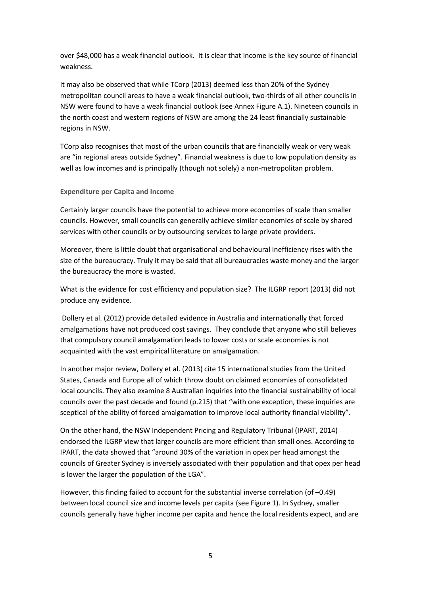over \$48,000 has a weak financial outlook. It is clear that income is the key source of financial weakness.

It may also be observed that while TCorp (2013) deemed less than 20% of the Sydney metropolitan council areas to have a weak financial outlook, two-thirds of all other councils in NSW were found to have a weak financial outlook (see Annex Figure A.1). Nineteen councils in the north coast and western regions of NSW are among the 24 least financially sustainable regions in NSW.

TCorp also recognises that most of the urban councils that are financially weak or very weak are "in regional areas outside Sydney". Financial weakness is due to low population density as well as low incomes and is principally (though not solely) a non-metropolitan problem.

#### **Expenditure per Capita and Income**

Certainly larger councils have the potential to achieve more economies of scale than smaller councils. However, small councils can generally achieve similar economies of scale by shared services with other councils or by outsourcing services to large private providers.

Moreover, there is little doubt that organisational and behavioural inefficiency rises with the size of the bureaucracy. Truly it may be said that all bureaucracies waste money and the larger the bureaucracy the more is wasted.

What is the evidence for cost efficiency and population size? The ILGRP report (2013) did not produce any evidence.

Dollery et al. (2012) provide detailed evidence in Australia and internationally that forced amalgamations have not produced cost savings. They conclude that anyone who still believes that compulsory council amalgamation leads to lower costs or scale economies is not acquainted with the vast empirical literature on amalgamation.

In another major review, Dollery et al. (2013) cite 15 international studies from the United States, Canada and Europe all of which throw doubt on claimed economies of consolidated local councils. They also examine 8 Australian inquiries into the financial sustainability of local councils over the past decade and found (p.215) that "with one exception, these inquiries are sceptical of the ability of forced amalgamation to improve local authority financial viability".

On the other hand, the NSW Independent Pricing and Regulatory Tribunal (IPART, 2014) endorsed the ILGRP view that larger councils are more efficient than small ones. According to IPART, the data showed that "around 30% of the variation in opex per head amongst the councils of Greater Sydney is inversely associated with their population and that opex per head is lower the larger the population of the LGA".

However, this finding failed to account for the substantial inverse correlation (of -0.49) between local council size and income levels per capita (see Figure 1). In Sydney, smaller councils generally have higher income per capita and hence the local residents expect, and are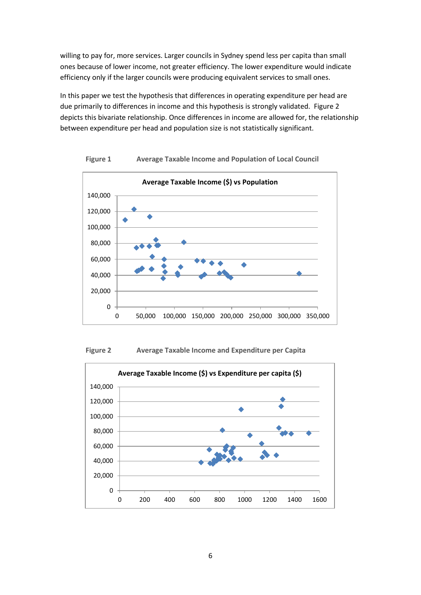willing to pay for, more services. Larger councils in Sydney spend less per capita than small ones because of lower income, not greater efficiency. The lower expenditure would indicate efficiency only if the larger councils were producing equivalent services to small ones.

In this paper we test the hypothesis that differences in operating expenditure per head are due primarily to differences in income and this hypothesis is strongly validated. Figure 2 depicts this bivariate relationship. Once differences in income are allowed for, the relationship between expenditure per head and population size is not statistically significant.



**Figure 1 Average Taxable Income and Population of Local Council**



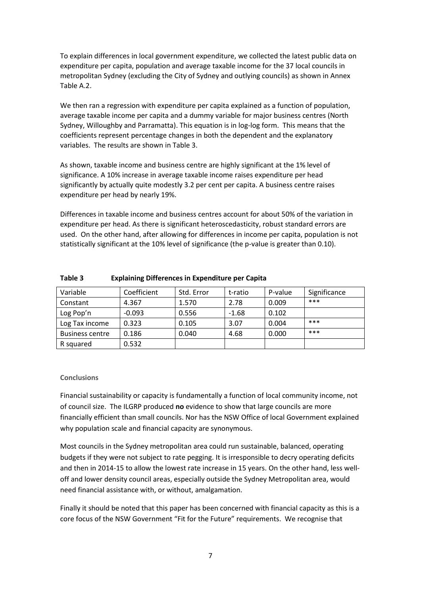To explain differences in local government expenditure, we collected the latest public data on expenditure per capita, population and average taxable income for the 37 local councils in metropolitan Sydney (excluding the City of Sydney and outlying councils) as shown in Annex Table A.2.

We then ran a regression with expenditure per capita explained as a function of population, average taxable income per capita and a dummy variable for major business centres (North Sydney, Willoughby and Parramatta). This equation is in log-log form. This means that the coefficients represent percentage changes in both the dependent and the explanatory variables. The results are shown in Table 3.

As shown, taxable income and business centre are highly significant at the 1% level of significance. A 10% increase in average taxable income raises expenditure per head significantly by actually quite modestly 3.2 per cent per capita. A business centre raises expenditure per head by nearly 19%.

Differences in taxable income and business centres account for about 50% of the variation in expenditure per head. As there is significant heteroscedasticity, robust standard errors are used. On the other hand, after allowing for differences in income per capita, population is not statistically significant at the 10% level of significance (the p-value is greater than 0.10).

| Variable               | Coefficient | Std. Error | t-ratio | P-value | Significance |
|------------------------|-------------|------------|---------|---------|--------------|
| Constant               | 4.367       | 1.570      | 2.78    | 0.009   | $***$        |
| Log Pop'n              | $-0.093$    | 0.556      | $-1.68$ | 0.102   |              |
| Log Tax income         | 0.323       | 0.105      | 3.07    | 0.004   | $***$        |
| <b>Business centre</b> | 0.186       | 0.040      | 4.68    | 0.000   | $***$        |
| R squared              | 0.532       |            |         |         |              |

**Table 3 Explaining Differences in Expenditure per Capita** 

#### **Conclusions**

Financial sustainability or capacity is fundamentally a function of local community income, not of council size. The ILGRP produced **no** evidence to show that large councils are more financially efficient than small councils. Nor has the NSW Office of local Government explained why population scale and financial capacity are synonymous.

Most councils in the Sydney metropolitan area could run sustainable, balanced, operating budgets if they were not subject to rate pegging. It is irresponsible to decry operating deficits and then in 2014-15 to allow the lowest rate increase in 15 years. On the other hand, less welloff and lower density council areas, especially outside the Sydney Metropolitan area, would need financial assistance with, or without, amalgamation.

Finally it should be noted that this paper has been concerned with financial capacity as this is a core focus of the NSW Government "Fit for the Future" requirements. We recognise that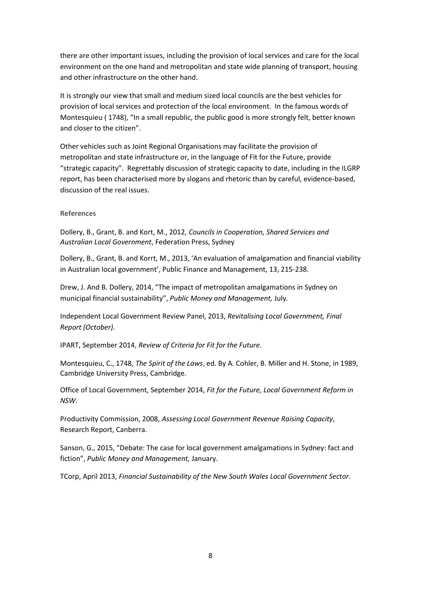there are other important issues, including the provision of local services and care for the local environment on the one hand and metropolitan and state wide planning of transport, housing and other infrastructure on the other hand.

It is strongly our view that small and medium sized local councils are the best vehicles for provision of local services and protection of the local environment. In the famous words of Montesquieu ( 1748), "In a small republic, the public good is more strongly felt, better known and closer to the citizen".

Other vehicles such as Joint Regional Organisations may facilitate the provision of metropolitan and state infrastructure or, in the language of Fit for the Future, provide "strategic capacity". Regrettably discussion of strategic capacity to date, including in the ILGRP report, has been characterised more by slogans and rhetoric than by careful, evidence-based, discussion of the real issues.

#### **References**

Dollery, B., Grant, B. and Kort, M., 2012, *Councils in Cooperation, Shared Services and Australian Local Government*, Federation Press, Sydney

Dollery, B., Grant, B. and Korrt, M., 2013, 'An evaluation of amalgamation and financial viability in Australian local government', Public Finance and Management, 13, 215-238.

Drew, J. And B. Dollery, 2014, "The impact of metropolitan amalgamations in Sydney on municipal financial sustainability", *Public Money and Management,* July*.*

Independent Local Government Review Panel, 2013, *Revitalising Local Government, Final Report (October).*

IPART, September 2014, *Review of Criteria for Fit for the Future*.

Montesquieu, C., 1748, *The Spirit of the Laws*, ed. By A. Cohler, B. Miller and H. Stone, in 1989, Cambridge University Press, Cambridge.

Office of Local Government, September 2014, *Fit for the Future, Local Government Reform in NSW*.

Productivity Commission, 2008, *Assessing Local Government Revenue Raising Capacity*, Research Report, Canberra.

Sanson, G., 2015, "Debate: The case for local government amalgamations in Sydney: fact and fiction", *Public Money and Management,* January.

TCorp, April 2013, *Financial Sustainability of the New South Wales Local Government Sector*.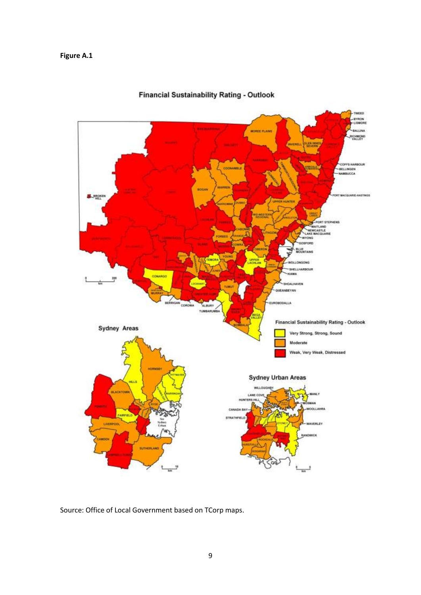### **Figure A.1**



# **Financial Sustainability Rating - Outlook**

Source: Office of Local Government based on TCorp maps.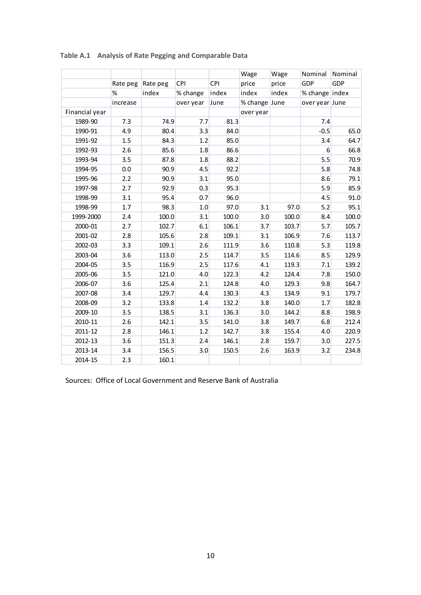|                |          |          |            |       | Wage          | Wage  | Nominal        | Nominal |
|----------------|----------|----------|------------|-------|---------------|-------|----------------|---------|
|                | Rate peg | Rate peg | <b>CPI</b> | CPI   | price         | price | GDP            | GDP     |
|                | %        | index    | % change   | index | index         | index | % change index |         |
|                | increase |          | over year  | June  | % change June |       | over year June |         |
| Financial year |          |          |            |       | over year     |       |                |         |
| 1989-90        | 7.3      | 74.9     | 7.7        | 81.3  |               |       | 7.4            |         |
| 1990-91        | 4.9      | 80.4     | 3.3        | 84.0  |               |       | $-0.5$         | 65.0    |
| 1991-92        | 1.5      | 84.3     | 1.2        | 85.0  |               |       | 3.4            | 64.7    |
| 1992-93        | 2.6      | 85.6     | 1.8        | 86.6  |               |       | 6              | 66.8    |
| 1993-94        | 3.5      | 87.8     | 1.8        | 88.2  |               |       | 5.5            | 70.9    |
| 1994-95        | 0.0      | 90.9     | 4.5        | 92.2  |               |       | 5.8            | 74.8    |
| 1995-96        | 2.2      | 90.9     | 3.1        | 95.0  |               |       | 8.6            | 79.1    |
| 1997-98        | 2.7      | 92.9     | 0.3        | 95.3  |               |       | 5.9            | 85.9    |
| 1998-99        | 3.1      | 95.4     | 0.7        | 96.0  |               |       | 4.5            | 91.0    |
| 1998-99        | 1.7      | 98.3     | 1.0        | 97.0  | 3.1           | 97.0  | 5.2            | 95.1    |
| 1999-2000      | 2.4      | 100.0    | 3.1        | 100.0 | 3.0           | 100.0 | 8.4            | 100.0   |
| 2000-01        | 2.7      | 102.7    | 6.1        | 106.1 | 3.7           | 103.7 | 5.7            | 105.7   |
| 2001-02        | 2.8      | 105.6    | 2.8        | 109.1 | 3.1           | 106.9 | 7.6            | 113.7   |
| 2002-03        | 3.3      | 109.1    | 2.6        | 111.9 | 3.6           | 110.8 | 5.3            | 119.8   |
| 2003-04        | 3.6      | 113.0    | 2.5        | 114.7 | 3.5           | 114.6 | 8.5            | 129.9   |
| 2004-05        | 3.5      | 116.9    | 2.5        | 117.6 | 4.1           | 119.3 | 7.1            | 139.2   |
| 2005-06        | 3.5      | 121.0    | 4.0        | 122.3 | 4.2           | 124.4 | 7.8            | 150.0   |
| 2006-07        | 3.6      | 125.4    | 2.1        | 124.8 | 4.0           | 129.3 | 9.8            | 164.7   |
| 2007-08        | 3.4      | 129.7    | 4.4        | 130.3 | 4.3           | 134.9 | 9.1            | 179.7   |
| 2008-09        | 3.2      | 133.8    | 1.4        | 132.2 | 3.8           | 140.0 | 1.7            | 182.8   |
| 2009-10        | 3.5      | 138.5    | 3.1        | 136.3 | 3.0           | 144.2 | 8.8            | 198.9   |
| 2010-11        | 2.6      | 142.1    | 3.5        | 141.0 | 3.8           | 149.7 | 6.8            | 212.4   |
| 2011-12        | 2.8      | 146.1    | 1.2        | 142.7 | 3.8           | 155.4 | 4.0            | 220.9   |
| 2012-13        | 3.6      | 151.3    | 2.4        | 146.1 | 2.8           | 159.7 | 3.0            | 227.5   |
| 2013-14        | 3.4      | 156.5    | 3.0        | 150.5 | 2.6           | 163.9 | 3.2            | 234.8   |
| 2014-15        | 2.3      | 160.1    |            |       |               |       |                |         |

# **Table A.1 Analysis of Rate Pegging and Comparable Data**

Sources: Office of Local Government and Reserve Bank of Australia